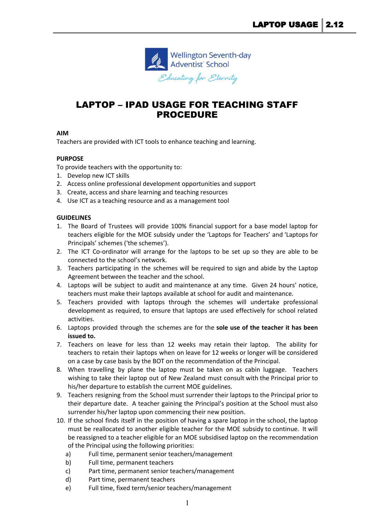

# LAPTOP – IPAD USAGE FOR TEACHING STAFF PROCEDURE

## **AIM**

Teachers are provided with ICT tools to enhance teaching and learning.

## **PURPOSE**

To provide teachers with the opportunity to:

- 1. Develop new ICT skills
- 2. Access online professional development opportunities and support
- 3. Create, access and share learning and teaching resources
- 4. Use ICT as a teaching resource and as a management tool

## **GUIDELINES**

- 1. The Board of Trustees will provide 100% financial support for a base model laptop for teachers eligible for the MOE subsidy under the 'Laptops for Teachers' and 'Laptops for Principals' schemes ('the schemes').
- 2. The ICT Co-ordinator will arrange for the laptops to be set up so they are able to be connected to the school's network.
- 3. Teachers participating in the schemes will be required to sign and abide by the Laptop Agreement between the teacher and the school.
- 4. Laptops will be subject to audit and maintenance at any time. Given 24 hours' notice, teachers must make their laptops available at school for audit and maintenance.
- 5. Teachers provided with laptops through the schemes will undertake professional development as required, to ensure that laptops are used effectively for school related activities.
- 6. Laptops provided through the schemes are for the **sole use of the teacher it has been issued to.**
- 7. Teachers on leave for less than 12 weeks may retain their laptop. The ability for teachers to retain their laptops when on leave for 12 weeks or longer will be considered on a case by case basis by the BOT on the recommendation of the Principal.
- 8. When travelling by plane the laptop must be taken on as cabin luggage. Teachers wishing to take their laptop out of New Zealand must consult with the Principal prior to his/her departure to establish the current MOE guidelines.
- 9. Teachers resigning from the School must surrender their laptops to the Principal prior to their departure date. A teacher gaining the Principal's position at the School must also surrender his/her laptop upon commencing their new position.
- 10. If the school finds itself in the position of having a spare laptop in the school, the laptop must be reallocated to another eligible teacher for the MOE subsidy to continue. It will be reassigned to a teacher eligible for an MOE subsidised laptop on the recommendation of the Principal using the following priorities:
	- a) Full time, permanent senior teachers/management
	- b) Full time, permanent teachers
	- c) Part time, permanent senior teachers/management
	- d) Part time, permanent teachers
	- e) Full time, fixed term/senior teachers/management